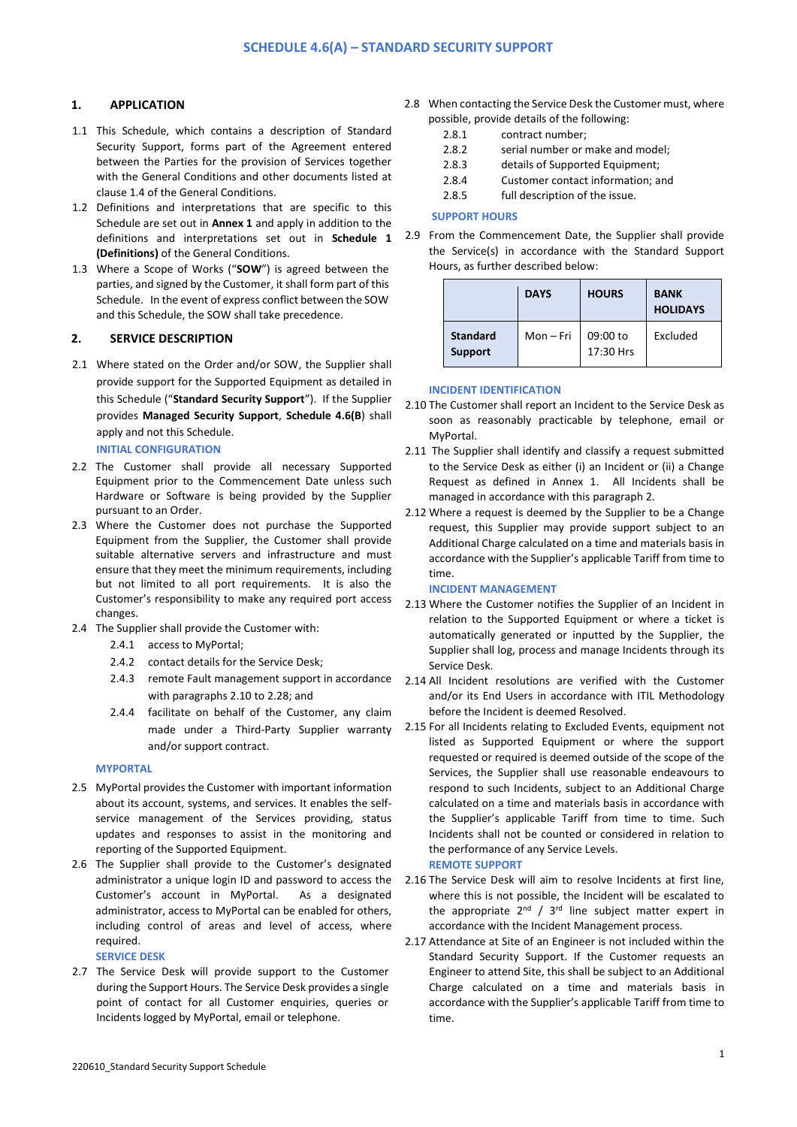# **1. APPLICATION**

- 1.1 This Schedule, which contains a description of Standard Security Support, forms part of the Agreement entered between the Parties for the provision of Services together with the General Conditions and other documents listed at clause 1.4 of the General Conditions.
- 1.2 Definitions and interpretations that are specific to this Schedule are set out in **Annex 1** and apply in addition to the definitions and interpretations set out in **Schedule 1 (Definitions)** of the General Conditions.
- 1.3 Where a Scope of Works ("**SOW**") is agreed between the parties, and signed by the Customer, it shall form part of this Schedule. In the event of express conflict between the SOW and this Schedule, the SOW shall take precedence.

## **2. SERVICE DESCRIPTION**

- 2.1 Where stated on the Order and/or SOW, the Supplier shall provide support for the Supported Equipment as detailed in this Schedule ("**Standard Security Support**"). If the Supplier provides **Managed Security Support**, **Schedule 4.6(B**) shall apply and not this Schedule. **INITIAL CONFIGURATION**
- 2.2 The Customer shall provide all necessary Supported Equipment prior to the Commencement Date unless such Hardware or Software is being provided by the Supplier pursuant to an Order.
- 2.3 Where the Customer does not purchase the Supported Equipment from the Supplier, the Customer shall provide suitable alternative servers and infrastructure and must ensure that they meet the minimum requirements, including but not limited to all port requirements. It is also the Customer's responsibility to make any required port access changes.
- 2.4 The Supplier shall provide the Customer with:
	- 2.4.1 access to MyPortal;
	- 2.4.2 contact details for the Service Desk;
	- 2.4.3 remote Fault management support in accordance with paragraphs 2.10 to 2.28; and
	- 2.4.4 facilitate on behalf of the Customer, any claim made under a Third-Party Supplier warranty and/or support contract.

### **MYPORTAL**

- 2.5 MyPortal provides the Customer with important information about its account, systems, and services. It enables the selfservice management of the Services providing, status updates and responses to assist in the monitoring and reporting of the Supported Equipment.
- 2.6 The Supplier shall provide to the Customer's designated administrator a unique login ID and password to access the Customer's account in MyPortal. As a designated administrator, access to MyPortal can be enabled for others, including control of areas and level of access, where required.
	- **SERVICE DESK**
- 2.7 The Service Desk will provide support to the Customer during the Support Hours. The Service Desk provides a single point of contact for all Customer enquiries, queries or Incidents logged by MyPortal, email or telephone.
- 2.8 When contacting the Service Desk the Customer must, where possible, provide details of the following:
	- 2.8.1 contract number;
	- 2.8.2 serial number or make and model;
	- 2.8.3 details of Supported Equipment;
	- 2.8.4 Customer contact information; and
	- 2.8.5 full description of the issue.

### **SUPPORT HOURS**

2.9 From the Commencement Date, the Supplier shall provide the Service(s) in accordance with the Standard Support Hours, as further described below:

|                            | <b>DAYS</b> | <b>HOURS</b>          | <b>BANK</b><br><b>HOLIDAYS</b> |
|----------------------------|-------------|-----------------------|--------------------------------|
| <b>Standard</b><br>Support | Mon-Fri     | 09:00 to<br>17:30 Hrs | Excluded                       |

#### **INCIDENT IDENTIFICATION**

- 2.10 The Customer shall report an Incident to the Service Desk as soon as reasonably practicable by telephone, email or **MyPortal**
- 2.11 The Supplier shall identify and classify a request submitted to the Service Desk as either (i) an Incident or (ii) a Change Request as defined in Annex 1. All Incidents shall be managed in accordance with this paragraph 2.
- 2.12 Where a request is deemed by the Supplier to be a Change request, this Supplier may provide support subject to an Additional Charge calculated on a time and materials basis in accordance with the Supplier's applicable Tariff from time to time.

#### **INCIDENT MANAGEMENT**

- 2.13 Where the Customer notifies the Supplier of an Incident in relation to the Supported Equipment or where a ticket is automatically generated or inputted by the Supplier, the Supplier shall log, process and manage Incidents through its Service Desk.
- 2.14 All Incident resolutions are verified with the Customer and/or its End Users in accordance with ITIL Methodology before the Incident is deemed Resolved.
- 2.15 For all Incidents relating to Excluded Events, equipment not listed as Supported Equipment or where the support requested or required is deemed outside of the scope of the Services, the Supplier shall use reasonable endeavours to respond to such Incidents, subject to an Additional Charge calculated on a time and materials basis in accordance with the Supplier's applicable Tariff from time to time. Such Incidents shall not be counted or considered in relation to the performance of any Service Levels. **REMOTE SUPPORT**
- 2.16 The Service Desk will aim to resolve Incidents at first line, where this is not possible, the Incident will be escalated to the appropriate  $2^{nd}$  /  $3^{rd}$  line subject matter expert in accordance with the Incident Management process.
- 2.17 Attendance at Site of an Engineer is not included within the Standard Security Support. If the Customer requests an Engineer to attend Site, this shall be subject to an Additional Charge calculated on a time and materials basis in accordance with the Supplier's applicable Tariff from time to time.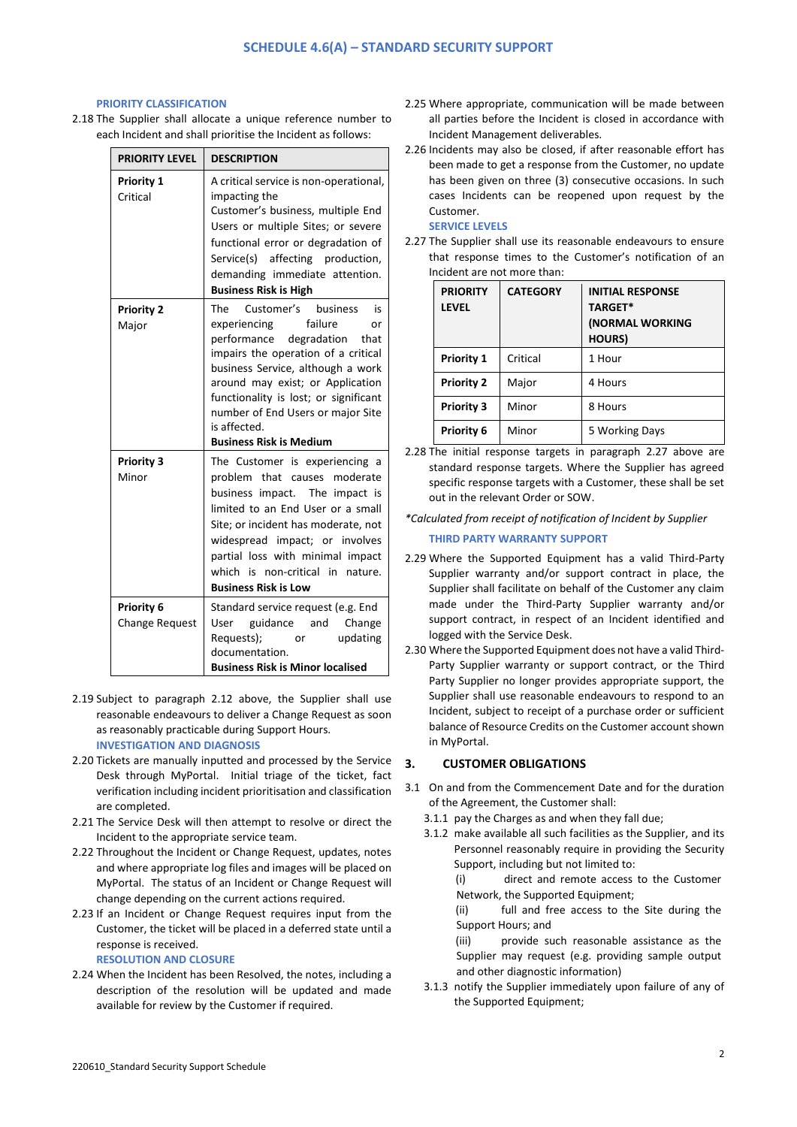## **PRIORITY CLASSIFICATION**

2.18 The Supplier shall allocate a unique reference number to each Incident and shall prioritise the Incident as follows:

| <b>PRIORITY LEVEL</b>               | <b>DESCRIPTION</b>                                                                                                                                                                                                                                                                                                                                |
|-------------------------------------|---------------------------------------------------------------------------------------------------------------------------------------------------------------------------------------------------------------------------------------------------------------------------------------------------------------------------------------------------|
| Priority 1<br>Critical              | A critical service is non-operational,<br>impacting the<br>Customer's business, multiple End<br>Users or multiple Sites; or severe<br>functional error or degradation of<br>Service(s) affecting production,<br>demanding immediate attention.<br><b>Business Risk is High</b>                                                                    |
| <b>Priority 2</b><br>Major          | The Customer's business<br>is<br>failure<br>experiencing<br>or<br>performance degradation<br>that<br>impairs the operation of a critical<br>business Service, although a work<br>around may exist; or Application<br>functionality is lost; or significant<br>number of End Users or major Site<br>is affected.<br><b>Business Risk is Medium</b> |
| <b>Priority 3</b><br>Minor          | The Customer is experiencing a<br>problem that causes moderate<br>business impact. The impact is<br>limited to an End User or a small<br>Site; or incident has moderate, not<br>widespread impact; or involves<br>partial loss with minimal impact<br>which is<br>non-critical in<br>nature.<br><b>Business Risk is Low</b>                       |
| Priority 6<br><b>Change Request</b> | Standard service request (e.g. End<br>guidance and Change<br>User<br>Requests);<br>updating<br><b>or</b><br>documentation.<br><b>Business Risk is Minor localised</b>                                                                                                                                                                             |

- 2.19 Subject to paragraph 2.12 above, the Supplier shall use reasonable endeavours to deliver a Change Request as soon as reasonably practicable during Support Hours. **INVESTIGATION AND DIAGNOSIS**
- 2.20 Tickets are manually inputted and processed by the Service Desk through MyPortal. Initial triage of the ticket, fact verification including incident prioritisation and classification are completed.
- 2.21 The Service Desk will then attempt to resolve or direct the Incident to the appropriate service team.
- 2.22 Throughout the Incident or Change Request, updates, notes and where appropriate log files and images will be placed on MyPortal. The status of an Incident or Change Request will change depending on the current actions required.
- 2.23 If an Incident or Change Request requires input from the Customer, the ticket will be placed in a deferred state until a response is received. **RESOLUTION AND CLOSURE**
- 2.24 When the Incident has been Resolved, the notes, including a description of the resolution will be updated and made available for review by the Customer if required.
- 2.25 Where appropriate, communication will be made between all parties before the Incident is closed in accordance with Incident Management deliverables.
- 2.26 Incidents may also be closed, if after reasonable effort has been made to get a response from the Customer, no update has been given on three (3) consecutive occasions. In such cases Incidents can be reopened upon request by the Customer.

# **SERVICE LEVELS**

2.27 The Supplier shall use its reasonable endeavours to ensure that response times to the Customer's notification of an Incident are not more than:

| <b>PRIORITY</b><br><b>LEVEL</b> | <b>CATEGORY</b> | <b>INITIAL RESPONSE</b><br><b>TARGET*</b><br>(NORMAL WORKING<br>HOURS) |
|---------------------------------|-----------------|------------------------------------------------------------------------|
| <b>Priority 1</b>               | Critical        | 1 Hour                                                                 |
| <b>Priority 2</b>               | Major           | 4 Hours                                                                |
| <b>Priority 3</b>               | Minor           | 8 Hours                                                                |
| <b>Priority 6</b>               | Minor           | 5 Working Days                                                         |

2.28 The initial response targets in paragraph 2.27 above are standard response targets. Where the Supplier has agreed specific response targets with a Customer, these shall be set out in the relevant Order or SOW.

*\*Calculated from receipt of notification of Incident by Supplier*

# **THIRD PARTY WARRANTY SUPPORT**

- 2.29 Where the Supported Equipment has a valid Third-Party Supplier warranty and/or support contract in place, the Supplier shall facilitate on behalf of the Customer any claim made under the Third-Party Supplier warranty and/or support contract, in respect of an Incident identified and logged with the Service Desk.
- 2.30 Where the Supported Equipment does not have a valid Third-Party Supplier warranty or support contract, or the Third Party Supplier no longer provides appropriate support, the Supplier shall use reasonable endeavours to respond to an Incident, subject to receipt of a purchase order or sufficient balance of Resource Credits on the Customer account shown in MyPortal.

## **3. CUSTOMER OBLIGATIONS**

- 3.1 On and from the Commencement Date and for the duration of the Agreement, the Customer shall:
	- 3.1.1 pay the Charges as and when they fall due;
	- 3.1.2 make available all such facilities as the Supplier, and its Personnel reasonably require in providing the Security Support, including but not limited to:

(i) direct and remote access to the Customer Network, the Supported Equipment;

(ii) full and free access to the Site during the Support Hours; and

(iii) provide such reasonable assistance as the Supplier may request (e.g. providing sample output and other diagnostic information)

3.1.3 notify the Supplier immediately upon failure of any of the Supported Equipment;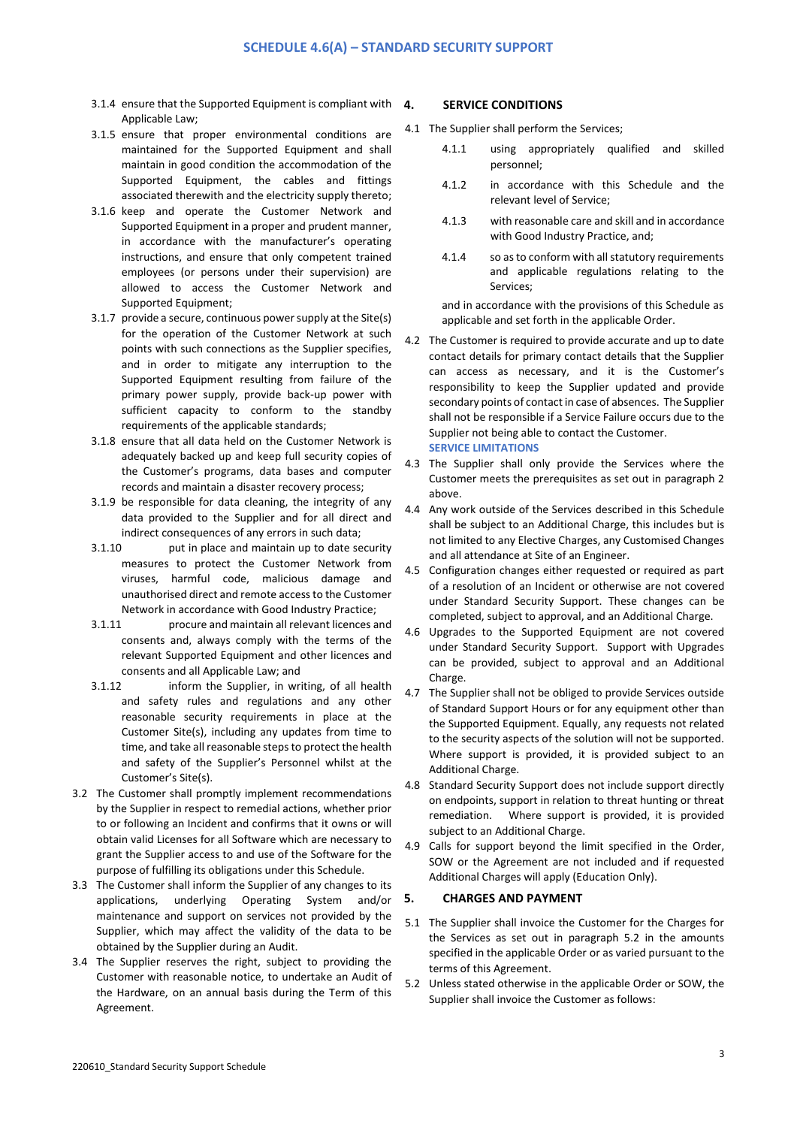- 3.1.4 ensure that the Supported Equipment is compliant with  $4.$ Applicable Law;
- 3.1.5 ensure that proper environmental conditions are maintained for the Supported Equipment and shall maintain in good condition the accommodation of the Supported Equipment, the cables and fittings associated therewith and the electricity supply thereto;
- 3.1.6 keep and operate the Customer Network and Supported Equipment in a proper and prudent manner, in accordance with the manufacturer's operating instructions, and ensure that only competent trained employees (or persons under their supervision) are allowed to access the Customer Network and Supported Equipment;
- 3.1.7 provide a secure, continuous power supply at the Site(s) for the operation of the Customer Network at such points with such connections as the Supplier specifies, and in order to mitigate any interruption to the Supported Equipment resulting from failure of the primary power supply, provide back-up power with sufficient capacity to conform to the standby requirements of the applicable standards;
- 3.1.8 ensure that all data held on the Customer Network is adequately backed up and keep full security copies of the Customer's programs, data bases and computer records and maintain a disaster recovery process;
- 3.1.9 be responsible for data cleaning, the integrity of any data provided to the Supplier and for all direct and indirect consequences of any errors in such data;
- 3.1.10 put in place and maintain up to date security measures to protect the Customer Network from viruses, harmful code, malicious damage and unauthorised direct and remote access to the Customer Network in accordance with Good Industry Practice;
- 3.1.11 procure and maintain all relevant licences and consents and, always comply with the terms of the relevant Supported Equipment and other licences and consents and all Applicable Law; and
- 3.1.12 inform the Supplier, in writing, of all health and safety rules and regulations and any other reasonable security requirements in place at the Customer Site(s), including any updates from time to time, and take all reasonable steps to protect the health and safety of the Supplier's Personnel whilst at the Customer's Site(s).
- 3.2 The Customer shall promptly implement recommendations by the Supplier in respect to remedial actions, whether prior to or following an Incident and confirms that it owns or will obtain valid Licenses for all Software which are necessary to grant the Supplier access to and use of the Software for the purpose of fulfilling its obligations under this Schedule.
- 3.3 The Customer shall inform the Supplier of any changes to its applications, underlying Operating System and/or maintenance and support on services not provided by the Supplier, which may affect the validity of the data to be obtained by the Supplier during an Audit.
- 3.4 The Supplier reserves the right, subject to providing the Customer with reasonable notice, to undertake an Audit of the Hardware, on an annual basis during the Term of this Agreement.

#### **4. SERVICE CONDITIONS**

- 4.1 The Supplier shall perform the Services;
	- 4.1.1 using appropriately qualified and skilled personnel;
	- 4.1.2 in accordance with this Schedule and the relevant level of Service;
	- 4.1.3 with reasonable care and skill and in accordance with Good Industry Practice, and;
	- 4.1.4 so as to conform with all statutory requirements and applicable regulations relating to the Services;

and in accordance with the provisions of this Schedule as applicable and set forth in the applicable Order.

- 4.2 The Customer is required to provide accurate and up to date contact details for primary contact details that the Supplier can access as necessary, and it is the Customer's responsibility to keep the Supplier updated and provide secondary points of contact in case of absences. The Supplier shall not be responsible if a Service Failure occurs due to the Supplier not being able to contact the Customer. **SERVICE LIMITATIONS**
- 4.3 The Supplier shall only provide the Services where the Customer meets the prerequisites as set out in paragraph 2 above.
- 4.4 Any work outside of the Services described in this Schedule shall be subject to an Additional Charge, this includes but is not limited to any Elective Charges, any Customised Changes and all attendance at Site of an Engineer.
- 4.5 Configuration changes either requested or required as part of a resolution of an Incident or otherwise are not covered under Standard Security Support. These changes can be completed, subject to approval, and an Additional Charge.
- 4.6 Upgrades to the Supported Equipment are not covered under Standard Security Support. Support with Upgrades can be provided, subject to approval and an Additional Charge.
- 4.7 The Supplier shall not be obliged to provide Services outside of Standard Support Hours or for any equipment other than the Supported Equipment. Equally, any requests not related to the security aspects of the solution will not be supported. Where support is provided, it is provided subject to an Additional Charge.
- 4.8 Standard Security Support does not include support directly on endpoints, support in relation to threat hunting or threat remediation. Where support is provided, it is provided subject to an Additional Charge.
- 4.9 Calls for support beyond the limit specified in the Order, SOW or the Agreement are not included and if requested Additional Charges will apply (Education Only).

# **5. CHARGES AND PAYMENT**

- 5.1 The Supplier shall invoice the Customer for the Charges for the Services as set out in paragraph 5.2 in the amounts specified in the applicable Order or as varied pursuant to the terms of this Agreement.
- 5.2 Unless stated otherwise in the applicable Order or SOW, the Supplier shall invoice the Customer as follows: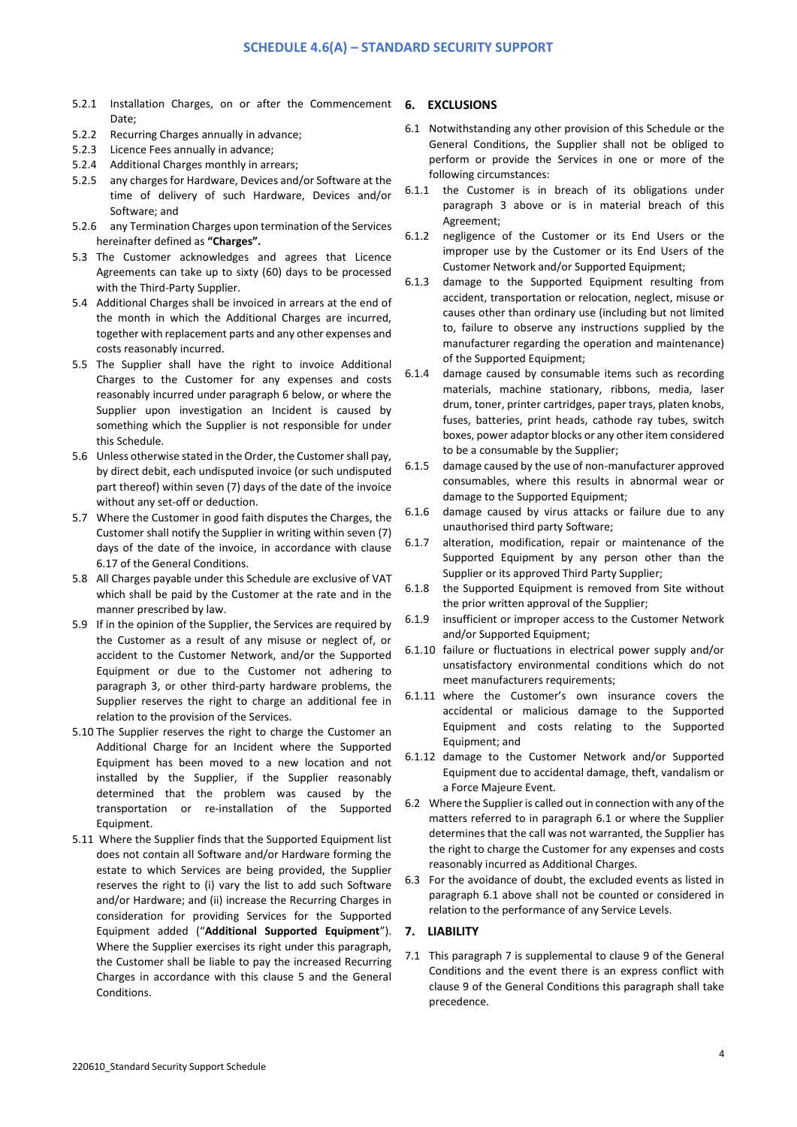- 5.2.1 Installation Charges, on or after the Commencement **6. EXCLUSIONS**  Date;
- 5.2.2 Recurring Charges annually in advance;
- 5.2.3 Licence Fees annually in advance;
- 5.2.4 Additional Charges monthly in arrears;
- 5.2.5 any charges for Hardware, Devices and/or Software at the time of delivery of such Hardware, Devices and/or Software; and
- 5.2.6 any Termination Charges upon termination of the Services hereinafter defined as **"Charges".**
- 5.3 The Customer acknowledges and agrees that Licence Agreements can take up to sixty (60) days to be processed with the Third-Party Supplier.
- 5.4 Additional Charges shall be invoiced in arrears at the end of the month in which the Additional Charges are incurred, together with replacement parts and any other expenses and costs reasonably incurred.
- 5.5 The Supplier shall have the right to invoice Additional Charges to the Customer for any expenses and costs reasonably incurred under paragraph 6 below, or where the Supplier upon investigation an Incident is caused by something which the Supplier is not responsible for under this Schedule.
- 5.6 Unless otherwise stated in the Order, the Customer shall pay, by direct debit, each undisputed invoice (or such undisputed part thereof) within seven (7) days of the date of the invoice without any set-off or deduction.
- 5.7 Where the Customer in good faith disputes the Charges, the Customer shall notify the Supplier in writing within seven (7) days of the date of the invoice, in accordance with clause 6.17 of the General Conditions.
- 5.8 All Charges payable under this Schedule are exclusive of VAT which shall be paid by the Customer at the rate and in the manner prescribed by law.
- 5.9 If in the opinion of the Supplier, the Services are required by the Customer as a result of any misuse or neglect of, or accident to the Customer Network, and/or the Supported Equipment or due to the Customer not adhering to paragraph 3, or other third-party hardware problems, the Supplier reserves the right to charge an additional fee in relation to the provision of the Services.
- 5.10 The Supplier reserves the right to charge the Customer an Additional Charge for an Incident where the Supported Equipment has been moved to a new location and not installed by the Supplier, if the Supplier reasonably determined that the problem was caused by the transportation or re-installation of the Supported Equipment.
- 5.11 Where the Supplier finds that the Supported Equipment list does not contain all Software and/or Hardware forming the estate to which Services are being provided, the Supplier reserves the right to (i) vary the list to add such Software and/or Hardware; and (ii) increase the Recurring Charges in consideration for providing Services for the Supported Equipment added ("**Additional Supported Equipment**"). Where the Supplier exercises its right under this paragraph, the Customer shall be liable to pay the increased Recurring Charges in accordance with this clause 5 and the General Conditions.

- 6.1 Notwithstanding any other provision of this Schedule or the General Conditions, the Supplier shall not be obliged to perform or provide the Services in one or more of the following circumstances:
- 6.1.1 the Customer is in breach of its obligations under paragraph 3 above or is in material breach of this Agreement;
- 6.1.2 negligence of the Customer or its End Users or the improper use by the Customer or its End Users of the Customer Network and/or Supported Equipment;
- 6.1.3 damage to the Supported Equipment resulting from accident, transportation or relocation, neglect, misuse or causes other than ordinary use (including but not limited to, failure to observe any instructions supplied by the manufacturer regarding the operation and maintenance) of the Supported Equipment;
- 6.1.4 damage caused by consumable items such as recording materials, machine stationary, ribbons, media, laser drum, toner, printer cartridges, paper trays, platen knobs, fuses, batteries, print heads, cathode ray tubes, switch boxes, power adaptor blocks or any other item considered to be a consumable by the Supplier;
- 6.1.5 damage caused by the use of non-manufacturer approved consumables, where this results in abnormal wear or damage to the Supported Equipment;
- 6.1.6 damage caused by virus attacks or failure due to any unauthorised third party Software;
- 6.1.7 alteration, modification, repair or maintenance of the Supported Equipment by any person other than the Supplier or its approved Third Party Supplier;
- 6.1.8 the Supported Equipment is removed from Site without the prior written approval of the Supplier;
- 6.1.9 insufficient or improper access to the Customer Network and/or Supported Equipment;
- 6.1.10 failure or fluctuations in electrical power supply and/or unsatisfactory environmental conditions which do not meet manufacturers requirements;
- 6.1.11 where the Customer's own insurance covers the accidental or malicious damage to the Supported Equipment and costs relating to the Supported Equipment; and
- 6.1.12 damage to the Customer Network and/or Supported Equipment due to accidental damage, theft, vandalism or a Force Majeure Event.
- 6.2 Where the Supplier is called out in connection with any of the matters referred to in paragraph 6.1 or where the Supplier determines that the call was not warranted, the Supplier has the right to charge the Customer for any expenses and costs reasonably incurred as Additional Charges.
- 6.3 For the avoidance of doubt, the excluded events as listed in paragraph 6.1 above shall not be counted or considered in relation to the performance of any Service Levels.

# **7. LIABILITY**

7.1 This paragraph 7 is supplemental to clause 9 of the General Conditions and the event there is an express conflict with clause 9 of the General Conditions this paragraph shall take precedence.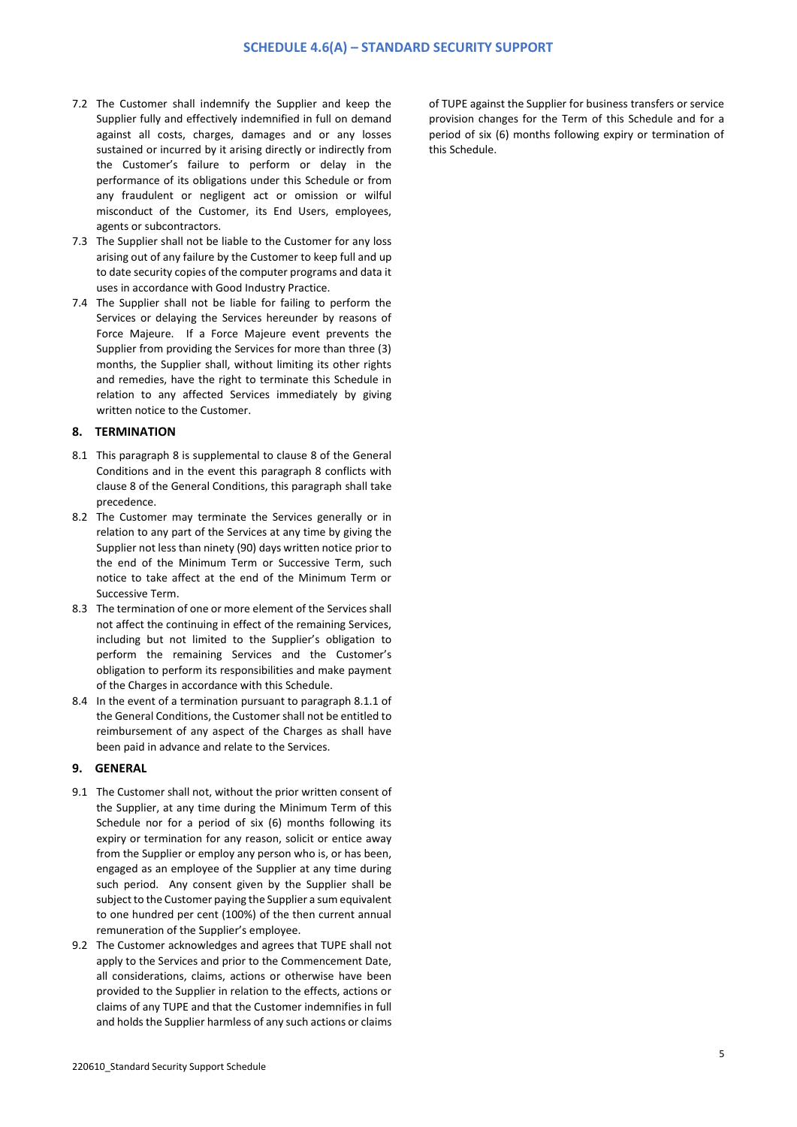- 7.2 The Customer shall indemnify the Supplier and keep the Supplier fully and effectively indemnified in full on demand against all costs, charges, damages and or any losses sustained or incurred by it arising directly or indirectly from the Customer's failure to perform or delay in the performance of its obligations under this Schedule or from any fraudulent or negligent act or omission or wilful misconduct of the Customer, its End Users, employees, agents or subcontractors.
- 7.3 The Supplier shall not be liable to the Customer for any loss arising out of any failure by the Customer to keep full and up to date security copies of the computer programs and data it uses in accordance with Good Industry Practice.
- 7.4 The Supplier shall not be liable for failing to perform the Services or delaying the Services hereunder by reasons of Force Majeure. If a Force Majeure event prevents the Supplier from providing the Services for more than three (3) months, the Supplier shall, without limiting its other rights and remedies, have the right to terminate this Schedule in relation to any affected Services immediately by giving written notice to the Customer.

# **8. TERMINATION**

- 8.1 This paragraph 8 is supplemental to clause 8 of the General Conditions and in the event this paragraph 8 conflicts with clause 8 of the General Conditions, this paragraph shall take precedence.
- 8.2 The Customer may terminate the Services generally or in relation to any part of the Services at any time by giving the Supplier not less than ninety (90) days written notice prior to the end of the Minimum Term or Successive Term, such notice to take affect at the end of the Minimum Term or Successive Term.
- 8.3 The termination of one or more element of the Services shall not affect the continuing in effect of the remaining Services, including but not limited to the Supplier's obligation to perform the remaining Services and the Customer's obligation to perform its responsibilities and make payment of the Charges in accordance with this Schedule.
- 8.4 In the event of a termination pursuant to paragraph 8.1.1 of the General Conditions, the Customer shall not be entitled to reimbursement of any aspect of the Charges as shall have been paid in advance and relate to the Services.

## **9. GENERAL**

- 9.1 The Customer shall not, without the prior written consent of the Supplier, at any time during the Minimum Term of this Schedule nor for a period of six (6) months following its expiry or termination for any reason, solicit or entice away from the Supplier or employ any person who is, or has been, engaged as an employee of the Supplier at any time during such period. Any consent given by the Supplier shall be subject to the Customer paying the Supplier a sum equivalent to one hundred per cent (100%) of the then current annual remuneration of the Supplier's employee.
- 9.2 The Customer acknowledges and agrees that TUPE shall not apply to the Services and prior to the Commencement Date, all considerations, claims, actions or otherwise have been provided to the Supplier in relation to the effects, actions or claims of any TUPE and that the Customer indemnifies in full and holds the Supplier harmless of any such actions or claims

of TUPE against the Supplier for business transfers or service provision changes for the Term of this Schedule and for a period of six (6) months following expiry or termination of this Schedule.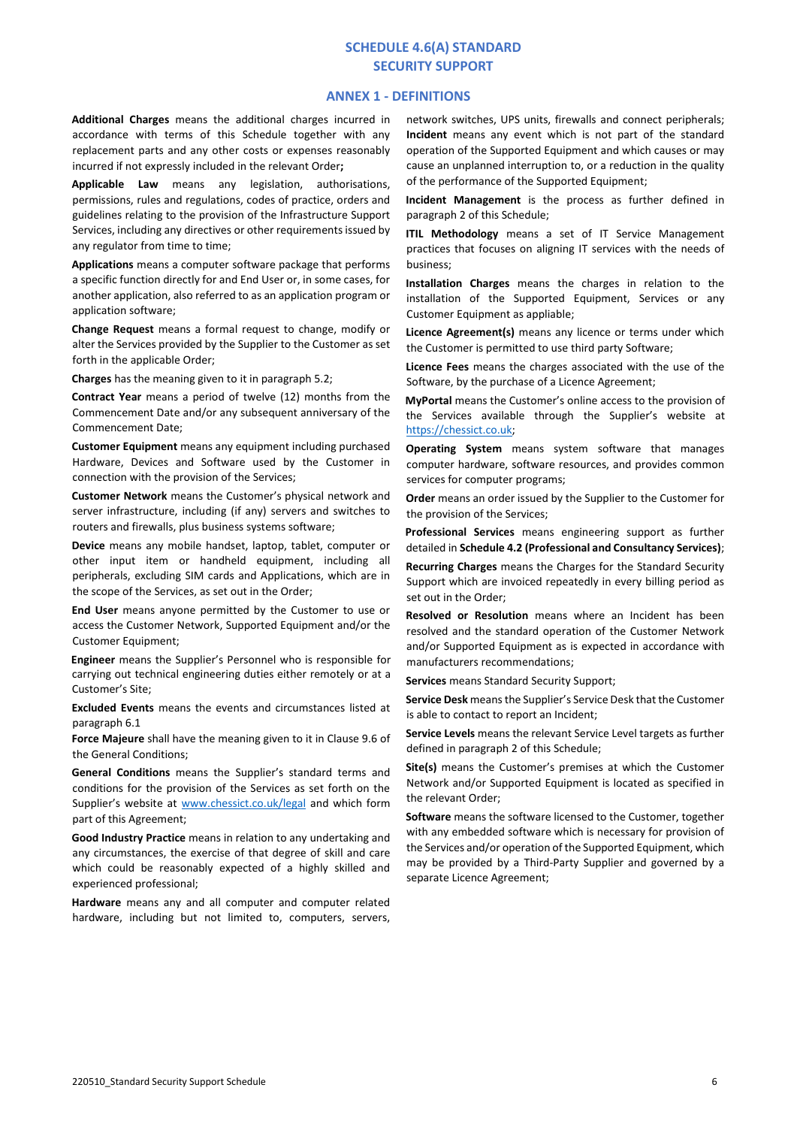# **SCHEDULE 4.6(A) STANDARD SECURITY SUPPORT**

## **ANNEX 1 - DEFINITIONS**

**Additional Charges** means the additional charges incurred in accordance with terms of this Schedule together with any replacement parts and any other costs or expenses reasonably incurred if not expressly included in the relevant Order**;**

**Applicable Law** means any legislation, authorisations, permissions, rules and regulations, codes of practice, orders and guidelines relating to the provision of the Infrastructure Support Services, including any directives or other requirements issued by any regulator from time to time;

**Applications** means a computer software package that performs a specific function directly for and End User or, in some cases, for another application, also referred to as an application program or application software;

**Change Request** means a formal request to change, modify or alter the Services provided by the Supplier to the Customer as set forth in the applicable Order;

**Charges** has the meaning given to it in paragraph 5.2;

**Contract Year** means a period of twelve (12) months from the Commencement Date and/or any subsequent anniversary of the Commencement Date;

**Customer Equipment** means any equipment including purchased Hardware, Devices and Software used by the Customer in connection with the provision of the Services;

**Customer Network** means the Customer's physical network and server infrastructure, including (if any) servers and switches to routers and firewalls, plus business systems software;

**Device** means any mobile handset, laptop, tablet, computer or other input item or handheld equipment, including all peripherals, excluding SIM cards and Applications, which are in the scope of the Services, as set out in the Order;

**End User** means anyone permitted by the Customer to use or access the Customer Network, Supported Equipment and/or the Customer Equipment;

**Engineer** means the Supplier's Personnel who is responsible for carrying out technical engineering duties either remotely or at a Customer's Site;

**Excluded Events** means the events and circumstances listed at paragraph 6.1

**Force Majeure** shall have the meaning given to it in Clause 9.6 of the General Conditions;

**General Conditions** means the Supplier's standard terms and conditions for the provision of the Services as set forth on the Supplier's website at [www.chessict.co.uk/legal](http://www.chessict.co.uk/legal) and which form part of this Agreement;

**Good Industry Practice** means in relation to any undertaking and any circumstances, the exercise of that degree of skill and care which could be reasonably expected of a highly skilled and experienced professional;

**Hardware** means any and all computer and computer related hardware, including but not limited to, computers, servers,

network switches, UPS units, firewalls and connect peripherals; **Incident** means any event which is not part of the standard operation of the Supported Equipment and which causes or may cause an unplanned interruption to, or a reduction in the quality of the performance of the Supported Equipment;

**Incident Management** is the process as further defined in paragraph 2 of this Schedule;

**ITIL Methodology** means a set of IT Service Management practices that focuses on aligning IT services with the needs of business;

**Installation Charges** means the charges in relation to the installation of the Supported Equipment, Services or any Customer Equipment as appliable;

**Licence Agreement(s)** means any licence or terms under which the Customer is permitted to use third party Software;

**Licence Fees** means the charges associated with the use of the Software, by the purchase of a Licence Agreement;

**MyPortal** means the Customer's online access to the provision of the Services available through the Supplier's website at [https://chessict.co.uk;](https://chessict.co.uk/) 

**Operating System** means system software that manages computer hardware, software resources, and provides common services for computer programs;

**Order** means an order issued by the Supplier to the Customer for the provision of the Services;

**Professional Services** means engineering support as further detailed in **Schedule 4.2 (Professional and Consultancy Services)**;

**Recurring Charges** means the Charges for the Standard Security Support which are invoiced repeatedly in every billing period as set out in the Order;

**Resolved or Resolution** means where an Incident has been resolved and the standard operation of the Customer Network and/or Supported Equipment as is expected in accordance with manufacturers recommendations;

**Services** means Standard Security Support;

**Service Desk** means the Supplier's Service Desk that the Customer is able to contact to report an Incident;

**Service Levels** means the relevant Service Level targets as further defined in paragraph 2 of this Schedule;

**Site(s)** means the Customer's premises at which the Customer Network and/or Supported Equipment is located as specified in the relevant Order;

**Software** means the software licensed to the Customer, together with any embedded software which is necessary for provision of the Services and/or operation of the Supported Equipment, which may be provided by a Third-Party Supplier and governed by a separate Licence Agreement;